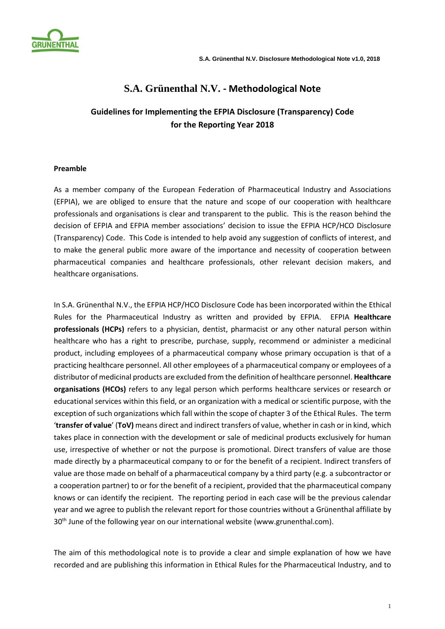

# **S.A. Grünenthal N.V. - Methodological Note**

# **Guidelines for Implementing the EFPIA Disclosure (Transparency) Code for the Reporting Year 2018**

#### **Preamble**

As a member company of the European Federation of Pharmaceutical Industry and Associations (EFPIA), we are obliged to ensure that the nature and scope of our cooperation with healthcare professionals and organisations is clear and transparent to the public. This is the reason behind the decision of EFPIA and EFPIA member associations' decision to issue the EFPIA HCP/HCO Disclosure (Transparency) Code. This Code is intended to help avoid any suggestion of conflicts of interest, and to make the general public more aware of the importance and necessity of cooperation between pharmaceutical companies and healthcare professionals, other relevant decision makers, and healthcare organisations.

In S.A. Grünenthal N.V., the EFPIA HCP/HCO Disclosure Code has been incorporated within the Ethical Rules for the Pharmaceutical Industry as written and provided by EFPIA. EFPIA **Healthcare professionals (HCPs)** refers to a physician, dentist, pharmacist or any other natural person within healthcare who has a right to prescribe, purchase, supply, recommend or administer a medicinal product, including employees of a pharmaceutical company whose primary occupation is that of a practicing healthcare personnel. All other employees of a pharmaceutical company or employees of a distributor of medicinal products are excluded from the definition of healthcare personnel. **Healthcare organisations (HCOs)** refers to any legal person which performs healthcare services or research or educational services within this field, or an organization with a medical or scientific purpose, with the exception of such organizations which fall within the scope of chapter 3 of the Ethical Rules. The term '**transfer of value**' (**ToV)** means direct and indirect transfers of value, whether in cash or in kind, which takes place in connection with the development or sale of medicinal products exclusively for human use, irrespective of whether or not the purpose is promotional. Direct transfers of value are those made directly by a pharmaceutical company to or for the benefit of a recipient. Indirect transfers of value are those made on behalf of a pharmaceutical company by a third party (e.g. a subcontractor or a cooperation partner) to or for the benefit of a recipient, provided that the pharmaceutical company knows or can identify the recipient. The reporting period in each case will be the previous calendar year and we agree to publish the relevant report for those countries without a Grünenthal affiliate by 30<sup>th</sup> June of the following year on our international website (www.grunenthal.com).

The aim of this methodological note is to provide a clear and simple explanation of how we have recorded and are publishing this information in Ethical Rules for the Pharmaceutical Industry, and to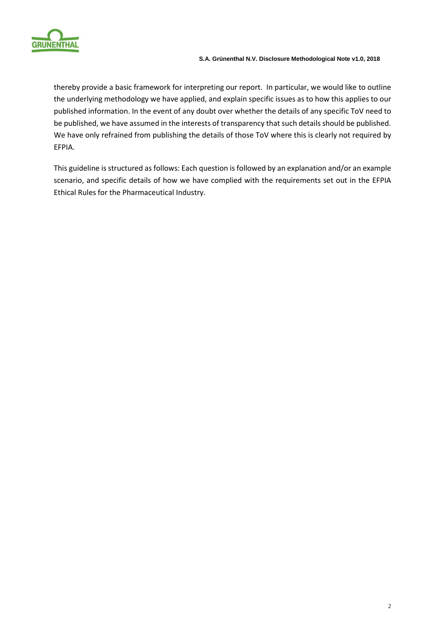

#### **S.A. Grünenthal N.V. Disclosure Methodological Note v1.0, 2018**

thereby provide a basic framework for interpreting our report. In particular, we would like to outline the underlying methodology we have applied, and explain specific issues as to how this applies to our published information. In the event of any doubt over whether the details of any specific ToV need to be published, we have assumed in the interests of transparency that such details should be published. We have only refrained from publishing the details of those ToV where this is clearly not required by EFPIA.

This guideline is structured as follows: Each question is followed by an explanation and/or an example scenario, and specific details of how we have complied with the requirements set out in the EFPIA Ethical Rules for the Pharmaceutical Industry.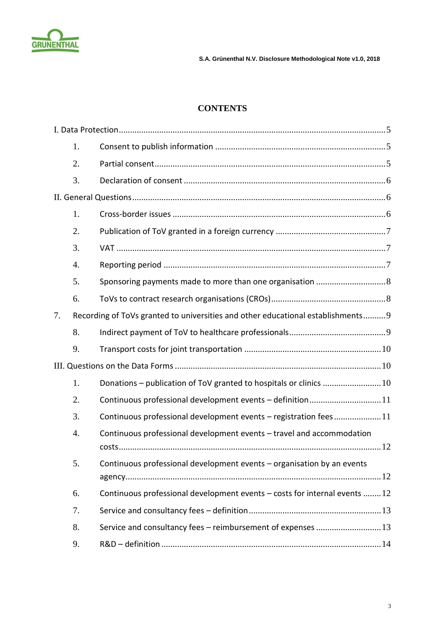

# **CONTENTS**

| 1. |                                                                                 |
|----|---------------------------------------------------------------------------------|
| 2. |                                                                                 |
| 3. |                                                                                 |
|    |                                                                                 |
| 1. |                                                                                 |
| 2. |                                                                                 |
| 3. |                                                                                 |
| 4. |                                                                                 |
| 5. |                                                                                 |
| 6. |                                                                                 |
|    | Recording of ToVs granted to universities and other educational establishments9 |
| 8. |                                                                                 |
| 9. |                                                                                 |
|    |                                                                                 |
| 1. |                                                                                 |
| 2. | Continuous professional development events - definition11                       |
| 3. | Continuous professional development events - registration fees11                |
| 4. | Continuous professional development events - travel and accommodation           |
| 5. | Continuous professional development events - organisation by an events          |
| 6. | Continuous professional development events - costs for internal events 12       |
| 7. |                                                                                 |
| 8. | Service and consultancy fees - reimbursement of expenses  13                    |
| 9. |                                                                                 |
|    |                                                                                 |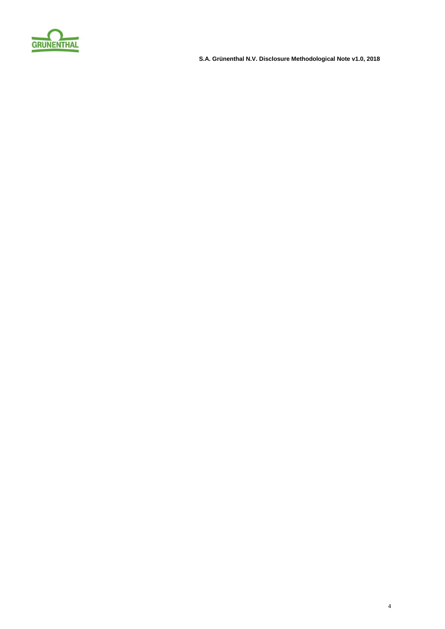

 **S.A. Grünenthal N.V. Disclosure Methodological Note v1.0, 2018**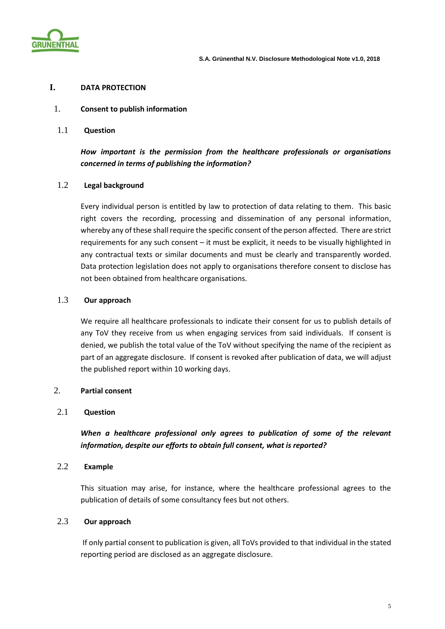

## <span id="page-4-0"></span>**I. DATA PROTECTION**

### <span id="page-4-1"></span>1. **Consent to publish information**

1.1 **Question**

# *How important is the permission from the healthcare professionals or organisations concerned in terms of publishing the information?*

### 1.2 **Legal background**

Every individual person is entitled by law to protection of data relating to them. This basic right covers the recording, processing and dissemination of any personal information, whereby any of these shall require the specific consent of the person affected. There are strict requirements for any such consent – it must be explicit, it needs to be visually highlighted in any contractual texts or similar documents and must be clearly and transparently worded. Data protection legislation does not apply to organisations therefore consent to disclose has not been obtained from healthcare organisations.

# 1.3 **Our approach**

We require all healthcare professionals to indicate their consent for us to publish details of any ToV they receive from us when engaging services from said individuals. If consent is denied, we publish the total value of the ToV without specifying the name of the recipient as part of an aggregate disclosure. If consent is revoked after publication of data, we will adjust the published report within 10 working days.

# <span id="page-4-2"></span>2. **Partial consent**

#### 2.1 **Question**

*When a healthcare professional only agrees to publication of some of the relevant information, despite our efforts to obtain full consent, what is reported?*

## 2.2 **Example**

This situation may arise, for instance, where the healthcare professional agrees to the publication of details of some consultancy fees but not others.

#### 2.3 **Our approach**

If only partial consent to publication is given, all ToVs provided to that individual in the stated reporting period are disclosed as an aggregate disclosure.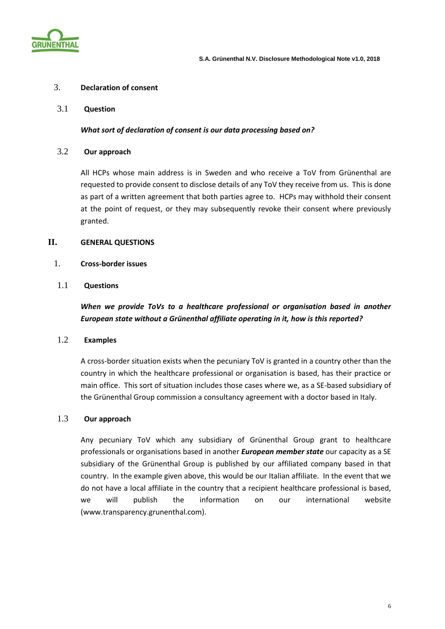

#### <span id="page-5-0"></span>3. **Declaration of consent**

#### 3.1 **Question**

*What sort of declaration of consent is our data processing based on?*

### 3.2 **Our approach**

All HCPs whose main address is in Sweden and who receive a ToV from Grünenthal are requested to provide consent to disclose details of any ToV they receive from us. This is done as part of a written agreement that both parties agree to. HCPs may withhold their consent at the point of request, or they may subsequently revoke their consent where previously granted.

### <span id="page-5-1"></span>**II. GENERAL QUESTIONS**

#### <span id="page-5-2"></span>1. **Cross-border issues**

#### 1.1 **Questions**

*When we provide ToVs to a healthcare professional or organisation based in another European state without a Grünenthal affiliate operating in it, how is this reported?*

#### 1.2 **Examples**

A cross-border situation exists when the pecuniary ToV is granted in a country other than the country in which the healthcare professional or organisation is based, has their practice or main office. This sort of situation includes those cases where we, as a SE-based subsidiary of the Grünenthal Group commission a consultancy agreement with a doctor based in Italy.

### 1.3 **Our approach**

Any pecuniary ToV which any subsidiary of Grünenthal Group grant to healthcare professionals or organisations based in another *European member state* our capacity as a SE subsidiary of the Grünenthal Group is published by our affiliated company based in that country. In the example given above, this would be our Italian affiliate. In the event that we do not have a local affiliate in the country that a recipient healthcare professional is based, we will publish the information on our international website (www.transparency.grunenthal.com).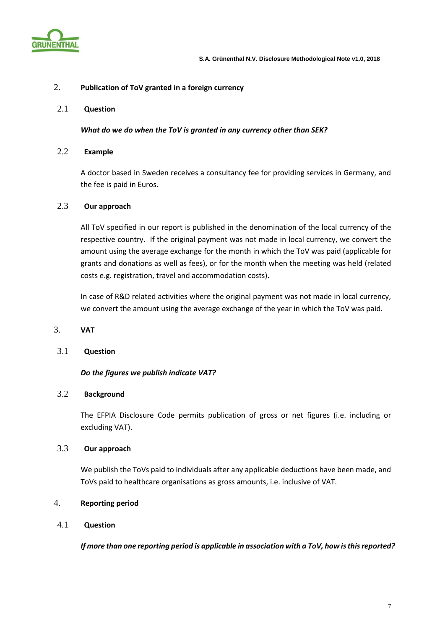

## <span id="page-6-0"></span>2. **Publication of ToV granted in a foreign currency**

### 2.1 **Question**

*What do we do when the ToV is granted in any currency other than SEK?*

## 2.2 **Example**

A doctor based in Sweden receives a consultancy fee for providing services in Germany, and the fee is paid in Euros.

### 2.3 **Our approach**

All ToV specified in our report is published in the denomination of the local currency of the respective country. If the original payment was not made in local currency, we convert the amount using the average exchange for the month in which the ToV was paid (applicable for grants and donations as well as fees), or for the month when the meeting was held (related costs e.g. registration, travel and accommodation costs).

In case of R&D related activities where the original payment was not made in local currency, we convert the amount using the average exchange of the year in which the ToV was paid.

#### <span id="page-6-1"></span>3. **VAT**

# 3.1 **Question**

# *Do the figures we publish indicate VAT?*

# 3.2 **Background**

The EFPIA Disclosure Code permits publication of gross or net figures (i.e. including or excluding VAT).

# 3.3 **Our approach**

We publish the ToVs paid to individuals after any applicable deductions have been made, and ToVs paid to healthcare organisations as gross amounts, i.e. inclusive of VAT.

# <span id="page-6-2"></span>4. **Reporting period**

# 4.1 **Question**

*If more than one reporting period is applicable in association with a ToV, how is this reported?*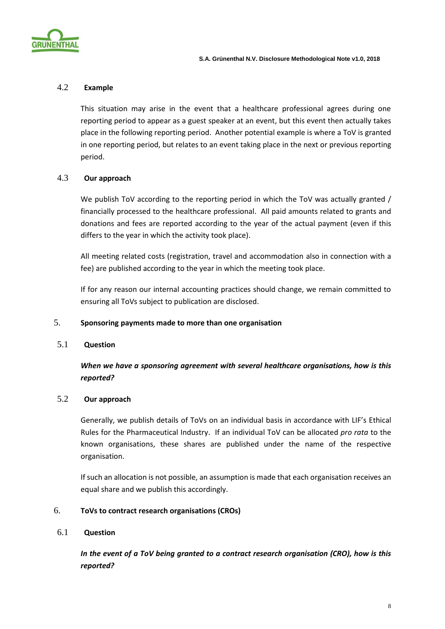

# 4.2 **Example**

This situation may arise in the event that a healthcare professional agrees during one reporting period to appear as a guest speaker at an event, but this event then actually takes place in the following reporting period. Another potential example is where a ToV is granted in one reporting period, but relates to an event taking place in the next or previous reporting period.

### 4.3 **Our approach**

We publish ToV according to the reporting period in which the ToV was actually granted / financially processed to the healthcare professional. All paid amounts related to grants and donations and fees are reported according to the year of the actual payment (even if this differs to the year in which the activity took place).

All meeting related costs (registration, travel and accommodation also in connection with a fee) are published according to the year in which the meeting took place.

If for any reason our internal accounting practices should change, we remain committed to ensuring all ToVs subject to publication are disclosed.

## <span id="page-7-0"></span>5. **Sponsoring payments made to more than one organisation**

#### 5.1 **Question**

*When we have a sponsoring agreement with several healthcare organisations, how is this reported?*

#### 5.2 **Our approach**

Generally, we publish details of ToVs on an individual basis in accordance with LIF's Ethical Rules for the Pharmaceutical Industry. If an individual ToV can be allocated *pro rata* to the known organisations, these shares are published under the name of the respective organisation.

If such an allocation is not possible, an assumption is made that each organisation receives an equal share and we publish this accordingly.

# <span id="page-7-1"></span>6. **ToVs to contract research organisations (CROs)**

#### 6.1 **Question**

*In the event of a ToV being granted to a contract research organisation (CRO), how is this reported?*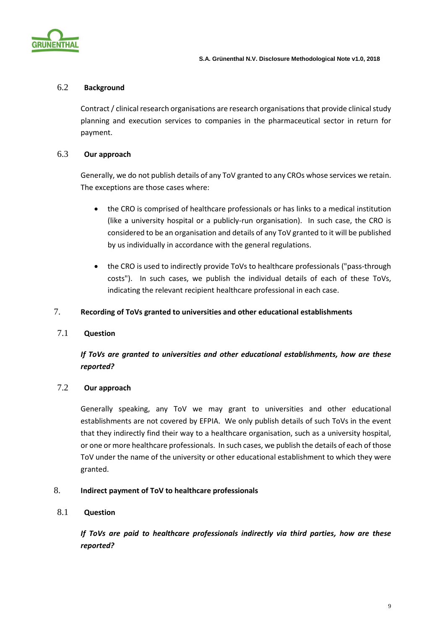

### 6.2 **Background**

Contract / clinical research organisations are research organisations that provide clinical study planning and execution services to companies in the pharmaceutical sector in return for payment.

### 6.3 **Our approach**

Generally, we do not publish details of any ToV granted to any CROs whose services we retain. The exceptions are those cases where:

- the CRO is comprised of healthcare professionals or has links to a medical institution (like a university hospital or a publicly-run organisation). In such case, the CRO is considered to be an organisation and details of any ToV granted to it will be published by us individually in accordance with the general regulations.
- the CRO is used to indirectly provide ToVs to healthcare professionals ("pass-through costs"). In such cases, we publish the individual details of each of these ToVs, indicating the relevant recipient healthcare professional in each case.

### <span id="page-8-0"></span>7. **Recording of ToVs granted to universities and other educational establishments**

# 7.1 **Question**

# *If ToVs are granted to universities and other educational establishments, how are these reported?*

#### 7.2 **Our approach**

Generally speaking, any ToV we may grant to universities and other educational establishments are not covered by EFPIA. We only publish details of such ToVs in the event that they indirectly find their way to a healthcare organisation, such as a university hospital, or one or more healthcare professionals. In such cases, we publish the details of each of those ToV under the name of the university or other educational establishment to which they were granted.

# <span id="page-8-1"></span>8. **Indirect payment of ToV to healthcare professionals**

# 8.1 **Question**

*If ToVs are paid to healthcare professionals indirectly via third parties, how are these reported?*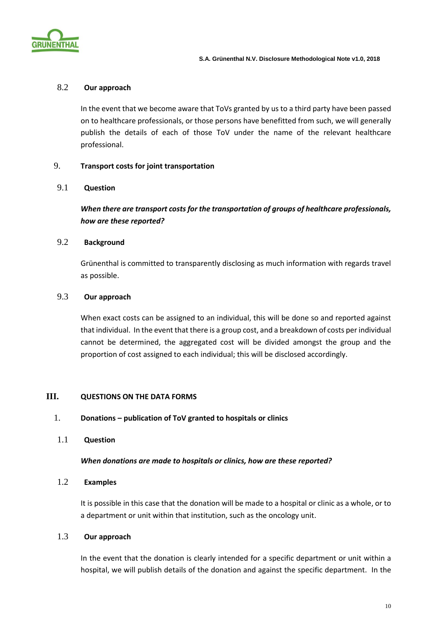

# 8.2 **Our approach**

In the event that we become aware that ToVs granted by us to a third party have been passed on to healthcare professionals, or those persons have benefitted from such, we will generally publish the details of each of those ToV under the name of the relevant healthcare professional.

### <span id="page-9-0"></span>9. **Transport costs for joint transportation**

# 9.1 **Question**

*When there are transport costs for the transportation of groups of healthcare professionals, how are these reported?*

# 9.2 **Background**

Grünenthal is committed to transparently disclosing as much information with regards travel as possible.

### 9.3 **Our approach**

When exact costs can be assigned to an individual, this will be done so and reported against that individual. In the event that there is a group cost, and a breakdown of costs per individual cannot be determined, the aggregated cost will be divided amongst the group and the proportion of cost assigned to each individual; this will be disclosed accordingly.

## <span id="page-9-1"></span>**III. QUESTIONS ON THE DATA FORMS**

#### <span id="page-9-2"></span>1. **Donations – publication of ToV granted to hospitals or clinics**

1.1 **Question**

#### *When donations are made to hospitals or clinics, how are these reported?*

#### 1.2 **Examples**

It is possible in this case that the donation will be made to a hospital or clinic as a whole, or to a department or unit within that institution, such as the oncology unit.

# 1.3 **Our approach**

In the event that the donation is clearly intended for a specific department or unit within a hospital, we will publish details of the donation and against the specific department. In the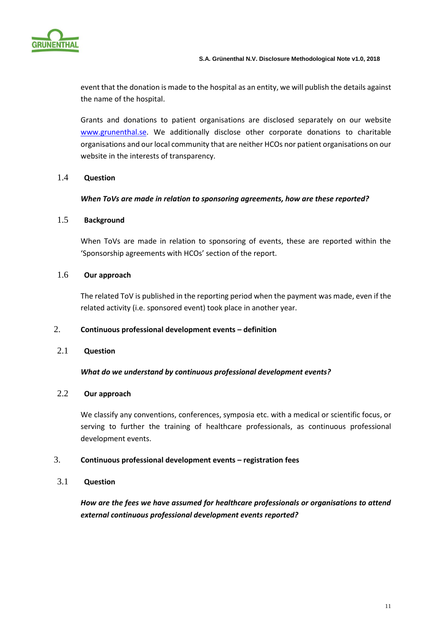

event that the donation is made to the hospital as an entity, we will publish the details against the name of the hospital.

Grants and donations to patient organisations are disclosed separately on our website [www.grunenthal.se.](http://www.grunenthal.se/) We additionally disclose other corporate donations to charitable organisations and our local community that are neither HCOs nor patient organisations on our website in the interests of transparency.

### 1.4 **Question**

#### *When ToVs are made in relation to sponsoring agreements, how are these reported?*

### 1.5 **Background**

When ToVs are made in relation to sponsoring of events, these are reported within the 'Sponsorship agreements with HCOs' section of the report.

#### 1.6 **Our approach**

The related ToV is published in the reporting period when the payment was made, even if the related activity (i.e. sponsored event) took place in another year.

#### <span id="page-10-0"></span>2. **Continuous professional development events – definition**

### 2.1 **Question**

#### *What do we understand by continuous professional development events?*

# 2.2 **Our approach**

We classify any conventions, conferences, symposia etc. with a medical or scientific focus, or serving to further the training of healthcare professionals, as continuous professional development events.

#### <span id="page-10-1"></span>3. **Continuous professional development events – registration fees**

### 3.1 **Question**

*How are the fees we have assumed for healthcare professionals or organisations to attend external continuous professional development events reported?*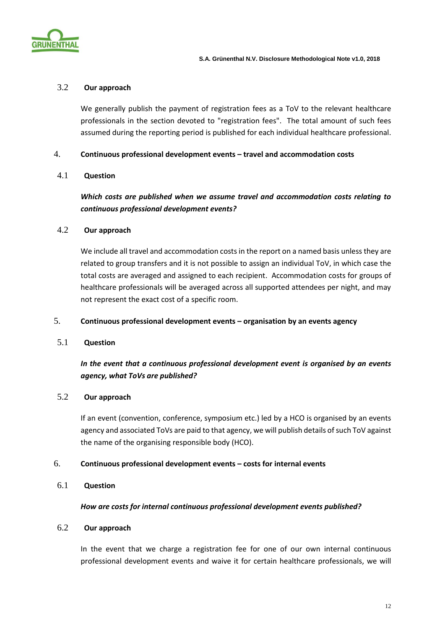

# 3.2 **Our approach**

We generally publish the payment of registration fees as a ToV to the relevant healthcare professionals in the section devoted to "registration fees". The total amount of such fees assumed during the reporting period is published for each individual healthcare professional.

## <span id="page-11-0"></span>4. **Continuous professional development events – travel and accommodation costs**

## 4.1 **Question**

*Which costs are published when we assume travel and accommodation costs relating to continuous professional development events?*

## 4.2 **Our approach**

We include all travel and accommodation costs in the report on a named basis unless they are related to group transfers and it is not possible to assign an individual ToV, in which case the total costs are averaged and assigned to each recipient. Accommodation costs for groups of healthcare professionals will be averaged across all supported attendees per night, and may not represent the exact cost of a specific room.

#### <span id="page-11-1"></span>5. **Continuous professional development events – organisation by an events agency**

### 5.1 **Question**

# *In the event that a continuous professional development event is organised by an events agency, what ToVs are published?*

# 5.2 **Our approach**

If an event (convention, conference, symposium etc.) led by a HCO is organised by an events agency and associated ToVs are paid to that agency, we will publish details of such ToV against the name of the organising responsible body (HCO).

### <span id="page-11-2"></span>6. **Continuous professional development events – costs for internal events**

### 6.1 **Question**

#### *How are costs for internal continuous professional development events published?*

# 6.2 **Our approach**

In the event that we charge a registration fee for one of our own internal continuous professional development events and waive it for certain healthcare professionals, we will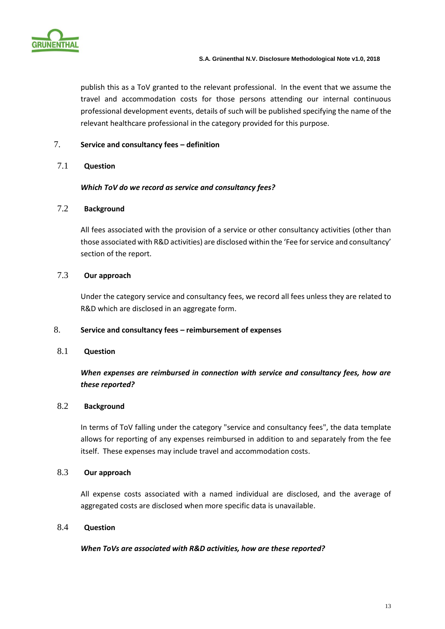

publish this as a ToV granted to the relevant professional. In the event that we assume the travel and accommodation costs for those persons attending our internal continuous professional development events, details of such will be published specifying the name of the relevant healthcare professional in the category provided for this purpose.

## <span id="page-12-0"></span>7. **Service and consultancy fees – definition**

### 7.1 **Question**

### *Which ToV do we record as service and consultancy fees?*

## 7.2 **Background**

All fees associated with the provision of a service or other consultancy activities (other than those associated with R&D activities) are disclosed within the 'Fee for service and consultancy' section of the report.

# 7.3 **Our approach**

Under the category service and consultancy fees, we record all fees unless they are related to R&D which are disclosed in an aggregate form.

### <span id="page-12-1"></span>8. **Service and consultancy fees – reimbursement of expenses**

# 8.1 **Question**

# *When expenses are reimbursed in connection with service and consultancy fees, how are these reported?*

## 8.2 **Background**

In terms of ToV falling under the category "service and consultancy fees", the data template allows for reporting of any expenses reimbursed in addition to and separately from the fee itself. These expenses may include travel and accommodation costs.

# 8.3 **Our approach**

All expense costs associated with a named individual are disclosed, and the average of aggregated costs are disclosed when more specific data is unavailable.

# 8.4 **Question**

#### *When ToVs are associated with R&D activities, how are these reported?*